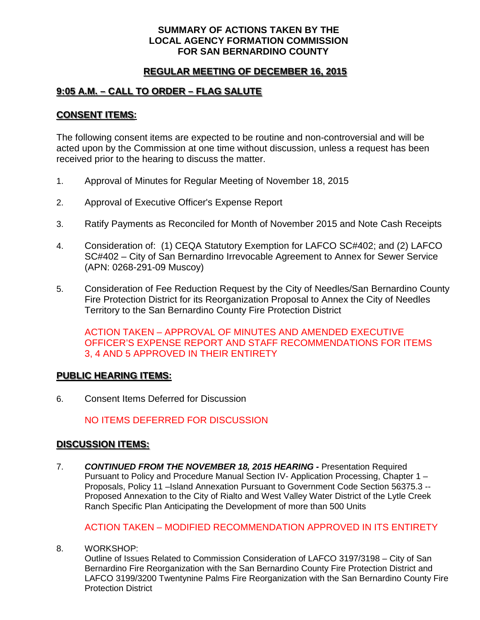#### **SUMMARY OF ACTIONS TAKEN BY THE LOCAL AGENCY FORMATION COMMISSION FOR SAN BERNARDINO COUNTY**

# **REGULAR MEETING OF DECEMBER 16, 2015**

# **9:05 A.M. – CALL TO ORDER – FLAG SALUTE**

#### **CONSENT ITEMS:**

The following consent items are expected to be routine and non-controversial and will be acted upon by the Commission at one time without discussion, unless a request has been received prior to the hearing to discuss the matter.

- 1. Approval of Minutes for Regular Meeting of November 18, 2015
- 2. Approval of Executive Officer's Expense Report
- 3. Ratify Payments as Reconciled for Month of November 2015 and Note Cash Receipts
- 4. Consideration of: (1) CEQA Statutory Exemption for LAFCO SC#402; and (2) LAFCO SC#402 – City of San Bernardino Irrevocable Agreement to Annex for Sewer Service (APN: 0268-291-09 Muscoy)
- 5. Consideration of Fee Reduction Request by the City of Needles/San Bernardino County Fire Protection District for its Reorganization Proposal to Annex the City of Needles Territory to the San Bernardino County Fire Protection District

ACTION TAKEN – APPROVAL OF MINUTES AND AMENDED EXECUTIVE OFFICER'S EXPENSE REPORT AND STAFF RECOMMENDATIONS FOR ITEMS 3, 4 AND 5 APPROVED IN THEIR ENTIRETY

#### **PUBLIC HEARING ITEMS:**

6. Consent Items Deferred for Discussion

NO ITEMS DEFERRED FOR DISCUSSION

## **DISCUSSION ITEMS:**

7. *CONTINUED FROM THE NOVEMBER 18, 2015 HEARING -* Presentation Required Pursuant to Policy and Procedure Manual Section IV- Application Processing, Chapter 1 – Proposals, Policy 11 –Island Annexation Pursuant to Government Code Section 56375.3 -- Proposed Annexation to the City of Rialto and West Valley Water District of the Lytle Creek Ranch Specific Plan Anticipating the Development of more than 500 Units

#### ACTION TAKEN – MODIFIED RECOMMENDATION APPROVED IN ITS ENTIRETY

8. WORKSHOP:

Outline of Issues Related to Commission Consideration of LAFCO 3197/3198 – City of San Bernardino Fire Reorganization with the San Bernardino County Fire Protection District and LAFCO 3199/3200 Twentynine Palms Fire Reorganization with the San Bernardino County Fire Protection District